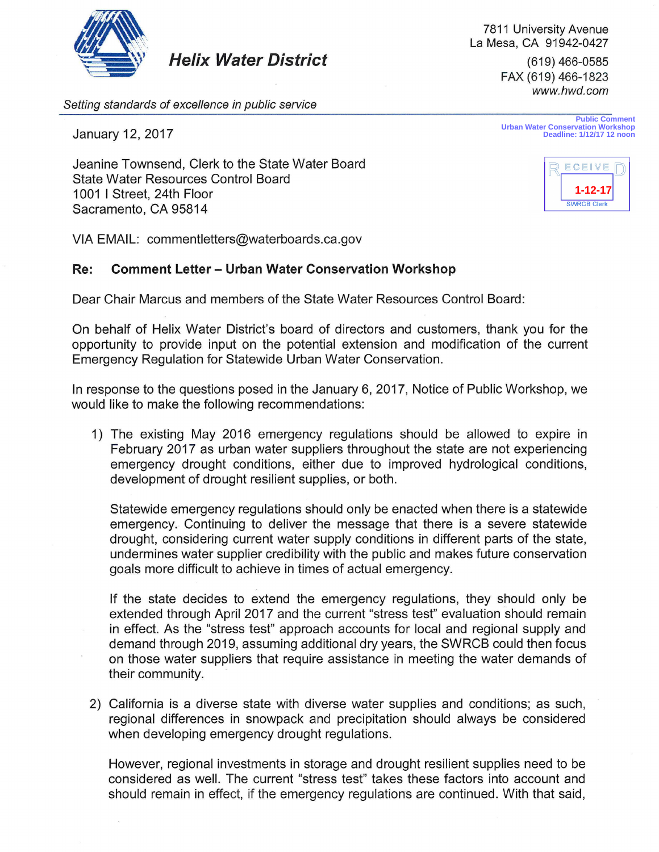

**Helix Water District** 

*Setting standards of excellence in public service* 

January 12, 2017

Jeanine Townsend, Clerk to the State Water Board State Water Resources Control Board 1001 I Street, 24th Floor Sacramento, CA 95814

VIA EMAIL: commentletters@waterboards.ca.gov

## **Re: Comment Letter - Urban Water Conservation Workshop**

Dear Chair Marcus and members of the State Water Resources Control Board:

On behalf of Helix Water District's board of directors and customers, thank you for the opportunity to provide input on the potential extension and modification of the current Emergency Regulation for Statewide Urban Water Conservation.

In response to the questions posed in the January 6, 2017, Notice of Public Workshop, we would like to make the following recommendations:

1) The existing May 2016 emergency regulations should be allowed to expire in February 2017 as urban water suppliers throughout the state are not experiencing emergency drought conditions, either due to improved hydrological conditions, development of drought resilient supplies, or both.

Statewide emergency regulations should only be enacted when there is a statewide emergency. Continuing to deliver the message that there is a severe statewide drought, considering current water supply conditions in different parts of the state, undermines water supplier credibility with the public and makes future conservation goals more difficult to achieve in times of actual emergency.

If the state decides to extend the emergency regulations, they should only be extended through April 2017 and the current "stress test" evaluation should remain in effect. As the "stress test" approach accounts for local and regional supply and demand through 2019, assuming additional dry years, the SWRCB could then focus on those water suppliers that require assistance in meeting the water demands of their community.

2) California is a diverse state with diverse water supplies and conditions; as such, regional differences in snowpack and precipitation should always be considered when developing emergency drought regulations.

However, regional investments in storage and drought resilient supplies need to be considered as well. The current "stress test" takes these factors into account and should remain in effect, if the emergency regulations are continued. With that said,

**Public Comment Urban Water Conservation Workshop Deadline: 1/12/17 12 noon**



7811 University Avenue La Mesa, CA 91942-0427 (619) 466-0585 FAX (619) 466-1823 *www.hwd.com*